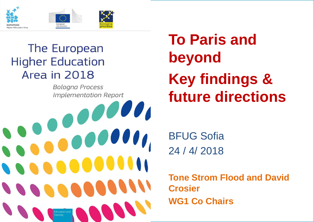

#### The European **Higher Education** Area in 2018

Training

**Bologna Process Implementation Report**  **To Paris and beyondKey findings & future directions**

 $\begin{bmatrix} 0 & 0 & 0 & 0 & 0 \\ 0 & 0 & 0 & 0 & 0 \\ 0 & 0 & 0 & 0 & 0 \\ 0 & 0 & 0 & 0 & 0 \\ 0 & 0 & 0 & 0 & 0 \\ 0 & 0 & 0 & 0 & 0 \\ 0 & 0 & 0 & 0 & 0 \\ 0 & 0 & 0 & 0 & 0 \\ 0 & 0 & 0 & 0 & 0 & 0 \\ 0 & 0 & 0 & 0 & 0 & 0 \\ 0 & 0 & 0 & 0 & 0 & 0 & 0 \\ 0 & 0 & 0 & 0 & 0 & 0 & 0 \\ 0 & 0 & 0 & 0 & 0 &$ Education and Training

BFUG Sofia 24 / 4/ 2018

**Tone Strom Flood and David Crosier WG1 Co Chairs**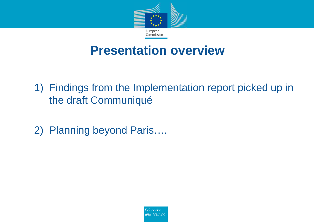

# **Presentation overview**

- 1) Findings from the Implementation report picked up in<br>the droft Cemmuniqué the draft Communiqué
- 2) Planning beyond Paris….

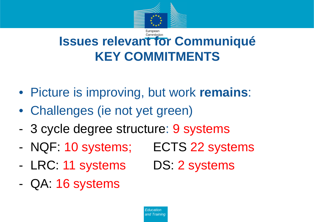

#### Commission **Issues relevant for CommuniquéKEY COMMITMENTS**

- Picture is improving, but work **remains**:
- Challenges (ie not yet green)
- -3 cycle degree structure: 9 systems
- -NQF: 10 systems; ECTS 22 systems
- -LRC: 11 systems
- -QA: 16 systems
- 
- DS: 2 systems

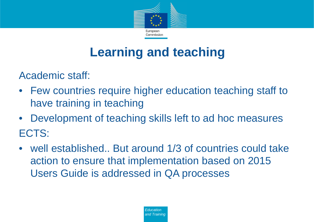

### **Learning and teaching**

Academic staff:

- Few countries require higher education teaching staff to have training in teaching
- Development of teaching skills left to ad hoc measuresECTS:
- well established.. But around 1/3 of countries could take action to ensure that implementation based on 2015 Users Guide is addressed in QA processes

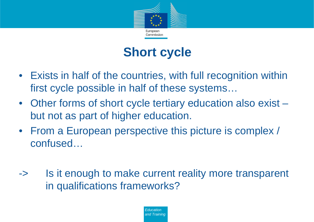

## **Short cycle**

- Exists in half of the countries, with full recognition withinfirst cycle possible in half of these systems…
- Other forms of short cycle tertiary education also exist –but not as part of higher education.
- From a European perspective this picture is complex /<br>earthsead confused…
- -> Is it enough to make current reality more transparent in qualifications frameworks?

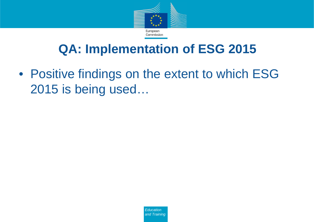

# **QA: Implementation of ESG 2015**

• Positive findings on the extent to which ESG 2015 is being used…

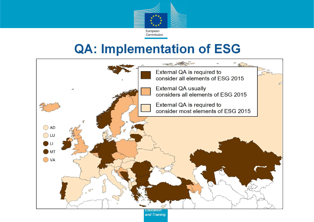

# **QA: Implementation of ESG**

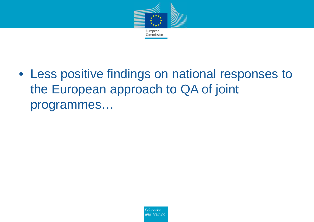

• Less positive findings on national responses to the European approach to QA of joint programmes…

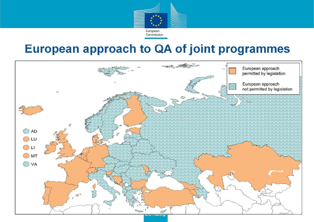

## **European approach to QA of joint programmes**

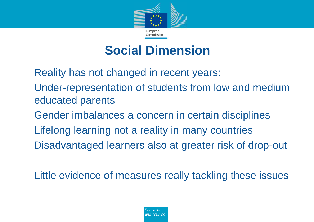

#### **Social Dimension**

Reality has not changed in recent years:

- Under-representation of students from low and medium educated parents
- Gender imbalances a concern in certain disciplines
- Lifelong learning not a reality in many countries
- Disadvantaged learners also at greater risk of drop-out

Little evidence of measures really tackling these issues

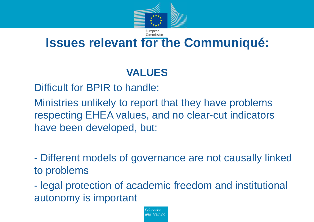

#### Commission **Issues relevant for the Communiqué:**

#### **VALUES**

Difficult for BPIR to handle:

Ministries unlikely to report that they have problems respecting EHEA values, and no clear-cut indicatorshave been developed, but:

 Different models of governance are not causally linkedto problems

 legal protection of academic freedom and institutional autonomy is important